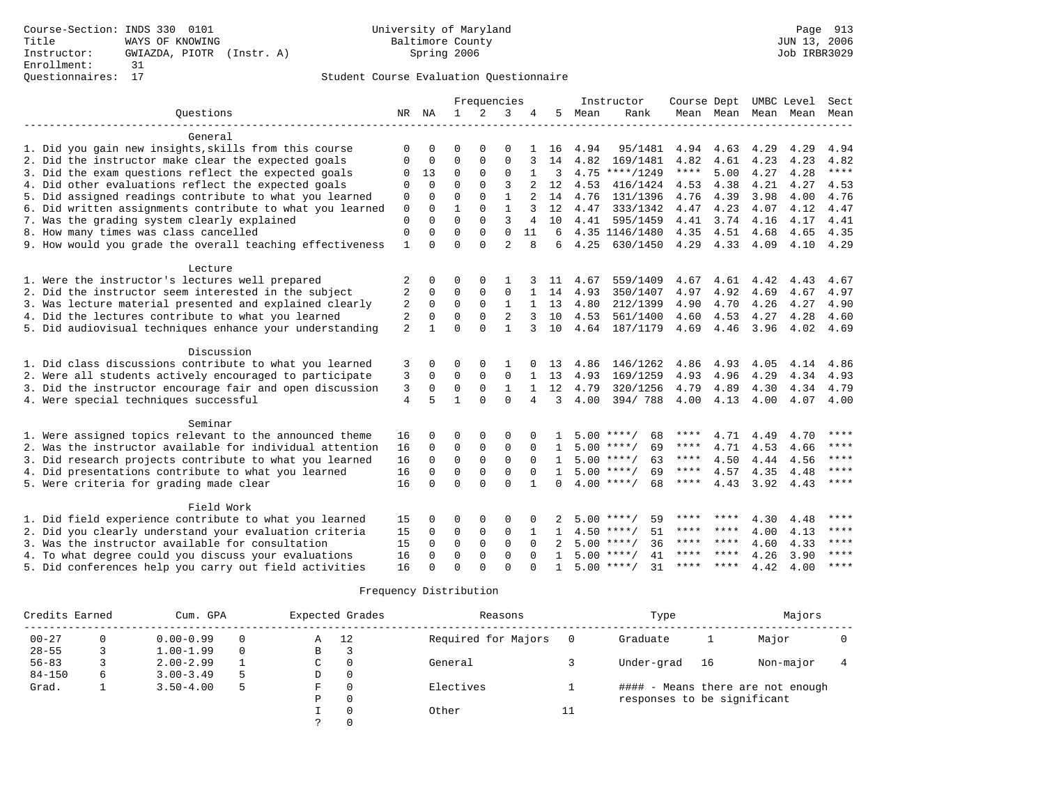## Questionnaires: 17 Student Course Evaluation Questionnaire

| Ouestions                                                 |                |             |              | Frequencies |                |                |              |      | Instructor         | Course Dept |         | UMBC Level          |      | Sect        |
|-----------------------------------------------------------|----------------|-------------|--------------|-------------|----------------|----------------|--------------|------|--------------------|-------------|---------|---------------------|------|-------------|
|                                                           |                | NR NA       | 1            | 2           | 3              | 4              | 5            | Mean | Rank               |             |         | Mean Mean Mean Mean |      | Mean        |
|                                                           |                |             |              |             |                |                |              |      |                    |             |         |                     |      |             |
| General                                                   |                |             |              |             |                |                |              |      |                    |             |         |                     |      |             |
| 1. Did you gain new insights, skills from this course     | $\Omega$       | O           | O            | $\Omega$    | $\Omega$       |                | 16           | 4.94 | 95/1481            | 4.94        | 4.63    | 4.29                | 4.29 | 4.94        |
| 2. Did the instructor make clear the expected goals       | $\Omega$       | $\Omega$    | $\Omega$     | $\Omega$    | $\mathbf 0$    |                | 14           | 4.82 | 169/1481           | 4.82        | 4.61    | 4.23                | 4.23 | 4.82        |
| 3. Did the exam questions reflect the expected goals      | $\Omega$       | 13          | $\Omega$     | $\Omega$    | $\mathbf 0$    | $\mathbf{1}$   | 3            |      | $4.75$ ****/1249   | $***$ * * * | 5.00    | 4.27                | 4.28 | $***$       |
| 4. Did other evaluations reflect the expected goals       | $\Omega$       | $\Omega$    | $\Omega$     | $\Omega$    | 3              |                | 12           | 4.53 | 416/1424           | 4.53        | 4.38    | 4.21                | 4.27 | 4.53        |
| 5. Did assigned readings contribute to what you learned   | $\Omega$       | $\Omega$    | $\Omega$     | $\Omega$    | $\mathbf{1}$   | $\overline{a}$ | 14           | 4.76 | 131/1396           | 4.76        | 4.39    | 3.98                | 4.00 | 4.76        |
| 6. Did written assignments contribute to what you learned | $\mathbf 0$    | $\Omega$    | 1            | $\Omega$    | $\mathbf{1}$   | 3              | 12           | 4.47 | 333/1342           | 4.47        | 4.23    | 4.07                | 4.12 | 4.47        |
| 7. Was the grading system clearly explained               | $\Omega$       | $\Omega$    | $\Omega$     | $\Omega$    | 3              | 4              | 10           | 4.41 | 595/1459           | 4.41        | 3.74    | 4.16                | 4.17 | 4.41        |
| 8. How many times was class cancelled                     | $\Omega$       | $\Omega$    | $\Omega$     | 0           | $\Omega$       | 11             | 6            |      | 4.35 1146/1480     | 4.35        | 4.51    | 4.68                | 4.65 | 4.35        |
| 9. How would you grade the overall teaching effectiveness | $\mathbf{1}$   | $\Omega$    | $\Omega$     | $\Omega$    | $\overline{a}$ | 8              | 6            | 4.25 | 630/1450           | 4.29        | 4.33    | 4.09                | 4.10 | 4.29        |
|                                                           |                |             |              |             |                |                |              |      |                    |             |         |                     |      |             |
| Lecture                                                   |                |             |              |             |                |                |              |      |                    |             |         |                     |      |             |
| 1. Were the instructor's lectures well prepared           | 2              | 0           | 0            | $\Omega$    |                |                | 11           | 4.67 | 559/1409           | 4.67        | 4.61    | 4.42                | 4.43 | 4.67        |
| 2. Did the instructor seem interested in the subject      | $\overline{2}$ | 0           | $\Omega$     | $\Omega$    | $\mathbf 0$    | $\mathbf{1}$   | 14           | 4.93 | 350/1407           | 4.97        | 4.92    | 4.69                | 4.67 | 4.97        |
| 3. Was lecture material presented and explained clearly   | 2              | $\mathbf 0$ | $\mathbf 0$  | $\Omega$    | $\mathbf{1}$   |                | 13           | 4.80 | 212/1399           | 4.90        | 4.70    | 4.26                | 4.27 | 4.90        |
| 4. Did the lectures contribute to what you learned        | 2              | $\Omega$    | $\Omega$     | $\Omega$    | 2              | 3              | 10           | 4.53 | 561/1400           | 4.60        | 4.53    | 4.27                | 4.28 | 4.60        |
| 5. Did audiovisual techniques enhance your understanding  | $\overline{2}$ | 1.          | $\Omega$     | $\Omega$    | $\mathbf{1}$   | 3              | 10           | 4.64 | 187/1179           | 4.69        | 4.46    | 3.96                | 4.02 | 4.69        |
|                                                           |                |             |              |             |                |                |              |      |                    |             |         |                     |      |             |
| Discussion                                                |                |             |              |             |                |                |              |      |                    |             |         |                     |      |             |
| 1. Did class discussions contribute to what you learned   | 3              | 0           | 0            | $\Omega$    |                |                | 13           | 4.86 | 146/1262           | 4.86        | 4.93    | 4.05                | 4.14 | 4.86        |
| 2. Were all students actively encouraged to participate   | 3              | 0           | $\Omega$     | $\Omega$    | $\mathbf 0$    |                | 13           | 4.93 | 169/1259           | 4.93        | 4.96    | 4.29                | 4.34 | 4.93        |
| 3. Did the instructor encourage fair and open discussion  | 3              | 0           | 0            | $\Omega$    | $\mathbf{1}$   | $\mathbf{1}$   | 12           | 4.79 | 320/1256           | 4.79        | 4.89    | 4.30                | 4.34 | 4.79        |
| 4. Were special techniques successful                     | $\overline{4}$ | 5           | $\mathbf{1}$ | $\Omega$    | $\Omega$       | 4              | 3            | 4.00 | 394/788            | 4.00        | 4.13    | 4.00                | 4.07 | 4.00        |
|                                                           |                |             |              |             |                |                |              |      |                    |             |         |                     |      |             |
| Seminar                                                   |                |             |              |             |                |                |              |      |                    |             |         |                     |      |             |
| 1. Were assigned topics relevant to the announced theme   | 16             | $\Omega$    | O            | $\Omega$    | $\Omega$       |                |              |      | $5.00$ ****/<br>68 | ****        | 4.71    | 4.49                | 4.70 | ****        |
| 2. Was the instructor available for individual attention  | 16             | $\Omega$    | 0            | 0           | $\mathbf 0$    | $\Omega$       | 1            |      | $5.00$ ****/<br>69 | ****        | 4.71    | 4.53                | 4.66 | $***$ * * * |
| 3. Did research projects contribute to what you learned   | 16             | $\mathbf 0$ | $\mathbf 0$  | 0           | $\mathbf 0$    | $\Omega$       | $\mathbf{1}$ |      | $5.00$ ****/<br>63 | ****        | 4.50    | 4.44                | 4.56 | $***$ * * * |
| 4. Did presentations contribute to what you learned       | 16             | $\Omega$    | $\mathbf 0$  | $\Omega$    | $\mathbf 0$    | $\Omega$       | $\mathbf{1}$ |      | $5.00$ ****/<br>69 | ****        | 4.57    | 4.35                | 4.48 | ****        |
| 5. Were criteria for grading made clear                   | 16             | $\Omega$    | $\Omega$     | $\cap$      | $\Omega$       | $\mathbf{1}$   | $\cap$       |      | $4.00$ ****/<br>68 | $***$ * * * | 4.43    | 3.92                | 4.43 | $***$ *     |
|                                                           |                |             |              |             |                |                |              |      |                    |             |         |                     |      |             |
| Field Work                                                |                |             |              |             |                |                |              |      |                    |             |         |                     |      |             |
| 1. Did field experience contribute to what you learned    | 15             | 0           | 0            | $\Omega$    | $\Omega$       | 0              |              | 5.00 | ****/<br>59        |             |         | 4.30                | 4.48 | ****        |
| 2. Did you clearly understand your evaluation criteria    | 15             | $\Omega$    | $\mathbf 0$  | $\mathbf 0$ | $\mathbf 0$    | 1              | 1            |      | $4.50$ ****/<br>51 | ****        | ****    | 4.00                | 4.13 | $***$ *     |
| 3. Was the instructor available for consultation          | 15             | $\Omega$    | $\mathbf 0$  | $\mathbf 0$ | $\mathbf 0$    | $\Omega$       |              |      | $5.00$ ****/<br>36 | ****        | ****    | 4.60                | 4.33 | ****        |
| 4. To what degree could you discuss your evaluations      | 16             | $\Omega$    | $\Omega$     | $\Omega$    | $\Omega$       | $\Omega$       | $\mathbf{1}$ | 5.00 | $* * * * /$<br>41  | ****        | ****    | 4.26                | 3.90 | $* * * * *$ |
| 5. Did conferences help you carry out field activities    | 16             | ∩           | $\Omega$     | $\cap$      | $\Omega$       |                | 1.           |      | $5.00$ ****/<br>31 | ****        | $***$ * | 4.42                | 4.00 | $***$ * * * |

| Credits Earned | Cum. GPA      |          |   | Expected Grades | Reasons             |    | Type                        |    |                                   |  |
|----------------|---------------|----------|---|-----------------|---------------------|----|-----------------------------|----|-----------------------------------|--|
| $00 - 27$      | $0.00 - 0.99$ | $\Omega$ | Α | 12              | Required for Majors |    | Graduate                    |    | Major                             |  |
| $28 - 55$      | $1.00 - 1.99$ | $\Omega$ | В | 3               |                     |    |                             |    |                                   |  |
| $56 - 83$      | $2.00 - 2.99$ |          | C | $\Omega$        | General             |    | Under-grad                  | 16 | Non-major                         |  |
| $84 - 150$     | $3.00 - 3.49$ | 5        | D | 0               |                     |    |                             |    |                                   |  |
| Grad.          | $3.50 - 4.00$ | 5        | F | 0               | Electives           |    |                             |    | #### - Means there are not enough |  |
|                |               |          | P | 0               |                     |    | responses to be significant |    |                                   |  |
|                |               |          |   | $\Omega$        | Other               | 11 |                             |    |                                   |  |
|                |               |          |   |                 |                     |    |                             |    |                                   |  |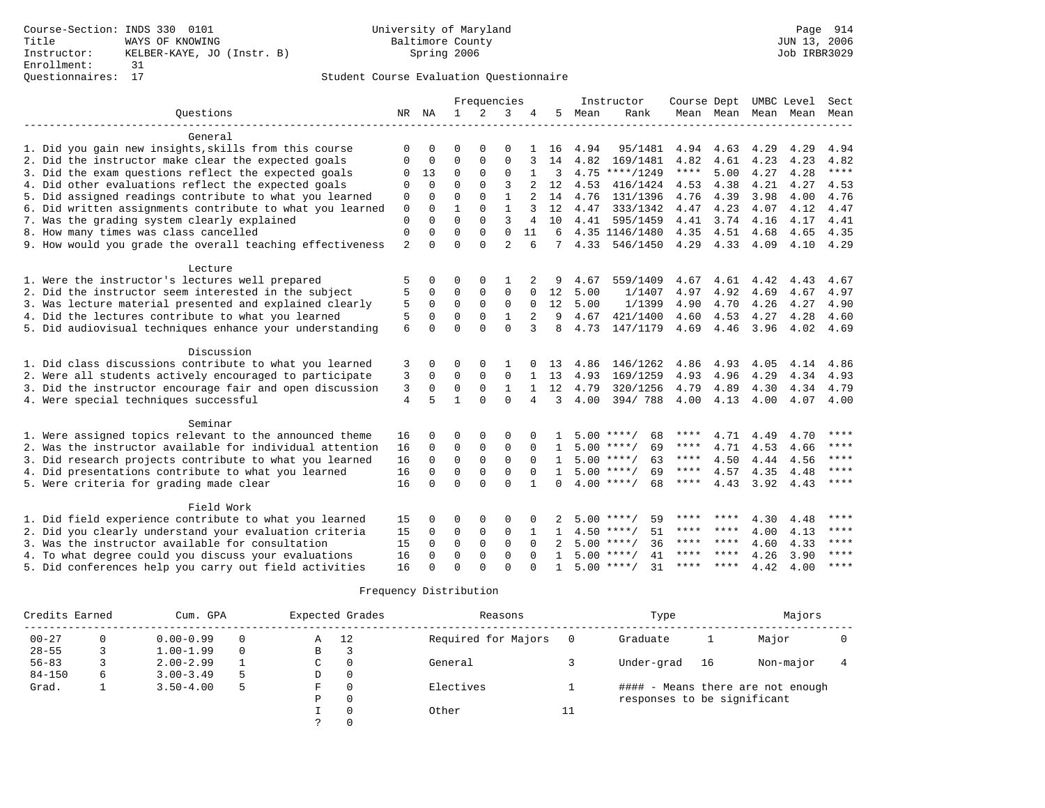# Questionnaires: 17 Student Course Evaluation Questionnaire

|                                                           |                |             |              | Frequencies  |                |                |              |      | Instructor         | Course Dept UMBC Level |           |      |                          | Sect        |
|-----------------------------------------------------------|----------------|-------------|--------------|--------------|----------------|----------------|--------------|------|--------------------|------------------------|-----------|------|--------------------------|-------------|
| Ouestions                                                 |                | NR NA       | 1            | 2            | 3              | 4              | 5            | Mean | Rank               |                        |           |      | Mean Mean Mean Mean Mean |             |
|                                                           |                |             |              |              |                |                |              |      |                    |                        |           |      |                          |             |
| General                                                   |                |             |              |              |                |                |              |      |                    |                        |           |      |                          |             |
| 1. Did you gain new insights, skills from this course     | O              | $\Omega$    | O            | $\Omega$     | O              |                | 16           | 4.94 | 95/1481            | 4.94                   | 4.63      | 4.29 | 4.29                     | 4.94        |
| 2. Did the instructor make clear the expected goals       | 0              | 0           | $\Omega$     | $\Omega$     | $\mathbf{0}$   |                | 14           | 4.82 | 169/1481           | 4.82                   | 4.61      | 4.23 | 4.23                     | 4.82        |
| 3. Did the exam questions reflect the expected goals      | 0              | 13          | $\mathbf 0$  | $\mathbf{0}$ | $\mathbf{0}$   | 1              | 3            |      | $4.75$ ****/1249   | ****                   | 5.00      | 4.27 | 4.28                     | $***$       |
| 4. Did other evaluations reflect the expected goals       | $\mathbf 0$    | $\Omega$    | $\Omega$     | $\Omega$     | 3              |                | 12           | 4.53 | 416/1424           | 4.53                   | 4.38      | 4.21 | 4.27                     | 4.53        |
| 5. Did assigned readings contribute to what you learned   | $\mathbf{0}$   | $\Omega$    | $\Omega$     | $\Omega$     | $\mathbf{1}$   | $\overline{a}$ | 14           | 4.76 | 131/1396           | 4.76                   | 4.39      | 3.98 | 4.00                     | 4.76        |
| 6. Did written assignments contribute to what you learned | 0              | $\Omega$    | 1            | $\Omega$     | $\mathbf{1}$   |                | 12           | 4.47 | 333/1342           | 4.47                   | 4.23      | 4.07 | 4.12                     | 4.47        |
| 7. Was the grading system clearly explained               | $\mathbf{0}$   | $\Omega$    | $\Omega$     | $\Omega$     | 3              | 4              | 10           | 4.41 | 595/1459           | 4.41                   | 3.74      | 4.16 | 4.17                     | 4.41        |
| 8. How many times was class cancelled                     | $\mathbf{0}$   | $\Omega$    | $\Omega$     | $\Omega$     | $\Omega$       | 11             | 6            |      | 4.35 1146/1480     | 4.35                   | 4.51      | 4.68 | 4.65                     | 4.35        |
| 9. How would you grade the overall teaching effectiveness | 2              | $\Omega$    | $\Omega$     | $\Omega$     | $\mathfrak{D}$ | h              | 7            | 4.33 | 546/1450           | 4.29                   | 4.33      | 4.09 | 4.10                     | 4.29        |
|                                                           |                |             |              |              |                |                |              |      |                    |                        |           |      |                          |             |
| Lecture                                                   |                |             |              |              |                |                |              |      |                    |                        |           |      |                          |             |
| 1. Were the instructor's lectures well prepared           | 5              | 0           | $\Omega$     | $\Omega$     | $\mathbf{1}$   |                | 9            | 4.67 | 559/1409           | 4.67                   | 4.61      | 4.42 | 4.43                     | 4.67        |
| 2. Did the instructor seem interested in the subject      | 5              | 0           | 0            | $\mathbf 0$  | $\mathbf 0$    | $\Omega$       | 12           | 5.00 | 1/1407             | 4.97                   | 4.92      | 4.69 | 4.67                     | 4.97        |
| 3. Was lecture material presented and explained clearly   | 5              | $\mathbf 0$ | $\mathbf 0$  | $\Omega$     | $\mathbf{0}$   | $\Omega$       | 12           | 5.00 | 1/1399             | 4.90                   | 4.70      | 4.26 | 4.27                     | 4.90        |
| 4. Did the lectures contribute to what you learned        | 5              | $\Omega$    | $\Omega$     | $\Omega$     | $\mathbf{1}$   | 2              | 9            | 4.67 | 421/1400           | 4.60                   | 4.53      | 4.27 | 4.28                     | 4.60        |
| 5. Did audiovisual techniques enhance your understanding  | 6              | $\Omega$    | $\Omega$     | $\Omega$     | $\Omega$       | 3              | 8            | 4.73 | 147/1179           | 4.69                   | 4.46      | 3.96 | 4.02                     | 4.69        |
|                                                           |                |             |              |              |                |                |              |      |                    |                        |           |      |                          |             |
| Discussion                                                |                |             |              |              |                |                |              |      |                    |                        |           |      |                          |             |
| 1. Did class discussions contribute to what you learned   | 3              | O           | 0            | $\Omega$     | 1              |                | 13           | 4.86 | 146/1262           | 4.86                   | 4.93      | 4.05 | 4.14                     | 4.86        |
| 2. Were all students actively encouraged to participate   | 3              | 0           | $\Omega$     | $\Omega$     | $\Omega$       | $\mathbf{1}$   | 13           | 4.93 | 169/1259           | 4.93                   | 4.96      | 4.29 | 4.34                     | 4.93        |
| 3. Did the instructor encourage fair and open discussion  | 3              | $\Omega$    | $\Omega$     | $\Omega$     | $\mathbf{1}$   | $\mathbf{1}$   | 12           | 4.79 | 320/1256           | 4.79                   | 4.89      | 4.30 | 4.34                     | 4.79        |
| 4. Were special techniques successful                     | $\overline{4}$ | 5           | $\mathbf{1}$ | $\Omega$     | $\Omega$       | 4              | 3            | 4.00 | 394/788            | 4.00                   | 4.13      | 4.00 | 4.07                     | 4.00        |
|                                                           |                |             |              |              |                |                |              |      |                    |                        |           |      |                          |             |
| Seminar                                                   |                |             |              |              |                |                |              |      |                    |                        |           |      |                          |             |
| 1. Were assigned topics relevant to the announced theme   | 16             | 0           | $\Omega$     | 0            | 0              | O              |              |      | $5.00$ ****/<br>68 | ****                   | 4.71      | 4.49 | 4.70                     | ****        |
| 2. Was the instructor available for individual attention  | 16             | $\Omega$    | $\mathbf 0$  | 0            | $\mathbf{0}$   | $\Omega$       | $\mathbf{1}$ |      | $5.00$ ****/<br>69 | ****                   | 4.71      | 4.53 | 4.66                     | ****        |
| 3. Did research projects contribute to what you learned   | 16             | $\mathbf 0$ | $\Omega$     | $\mathbf 0$  | $\mathbf 0$    | $\Omega$       | 1            |      | $5.00$ ****/<br>63 | ****                   | 4.50      | 4.44 | 4.56                     | $***$ * * * |
| 4. Did presentations contribute to what you learned       | 16             | $\Omega$    | $\Omega$     | $\Omega$     | $\Omega$       | $\Omega$       | $\mathbf{1}$ |      | $5.00$ ****/<br>69 | ****                   | 4.57      | 4.35 | 4.48                     | ****        |
| 5. Were criteria for grading made clear                   | 16             | $\Omega$    | $\Omega$     | $\cap$       | $\Omega$       | $\mathbf{1}$   | $\cap$       |      | $4.00$ ****/<br>68 | $***$ * * *            | 4.43      | 3.92 | 4.43                     | $* * * * *$ |
| Field Work                                                |                |             |              |              |                |                |              |      |                    |                        |           |      |                          |             |
| 1. Did field experience contribute to what you learned    | 15             | O           | 0            | 0            | $\Omega$       | O              |              | 5.00 | $***$ $*$<br>59    |                        |           | 4.30 | 4.48                     | ****        |
| 2. Did you clearly understand your evaluation criteria    | 15             | $\Omega$    | $\mathbf 0$  | $\mathbf 0$  | $\mathbf 0$    | 1              | 1            |      | 51<br>$4.50$ ****/ |                        | **** **** | 4.00 | 4.13                     | $***$ *     |
| 3. Was the instructor available for consultation          | 15             | $\Omega$    | $\mathbf 0$  | $\mathbf 0$  | $\mathbf 0$    | $\Omega$       |              |      | $5.00$ ****/<br>36 |                        | **** **** | 4.60 | 4.33                     | ****        |
|                                                           | 16             | $\Omega$    | $\Omega$     | $\Omega$     | $\Omega$       | $\Omega$       | $\mathbf{1}$ | 5.00 | $***$ /<br>41      | ****                   | ****      | 4.26 | 3.90                     | $* * * * *$ |
| 4. To what degree could you discuss your evaluations      | 16             | ∩           | $\Omega$     | $\cap$       | $\Omega$       | U              | 1            |      | $5.00$ ****/<br>31 | ****                   | ****      | 4.42 | 4.00                     | $***$ * * * |
| 5. Did conferences help you carry out field activities    |                |             |              |              |                |                |              |      |                    |                        |           |      |                          |             |

| Credits Earned | Cum. GPA      |          |   | Expected Grades | Reasons             |    | Type                        |    |                                   |  |
|----------------|---------------|----------|---|-----------------|---------------------|----|-----------------------------|----|-----------------------------------|--|
| $00 - 27$      | $0.00 - 0.99$ | $\Omega$ | Α | 12              | Required for Majors |    | Graduate                    |    | Major                             |  |
| $28 - 55$      | $1.00 - 1.99$ | $\Omega$ | В | 3               |                     |    |                             |    |                                   |  |
| $56 - 83$      | $2.00 - 2.99$ |          | C | $\Omega$        | General             |    | Under-grad                  | 16 | Non-major                         |  |
| $84 - 150$     | $3.00 - 3.49$ | 5        | D | 0               |                     |    |                             |    |                                   |  |
| Grad.          | $3.50 - 4.00$ | 5        | F | 0               | Electives           |    |                             |    | #### - Means there are not enough |  |
|                |               |          | P | 0               |                     |    | responses to be significant |    |                                   |  |
|                |               |          |   | $\Omega$        | Other               | 11 |                             |    |                                   |  |
|                |               |          |   |                 |                     |    |                             |    |                                   |  |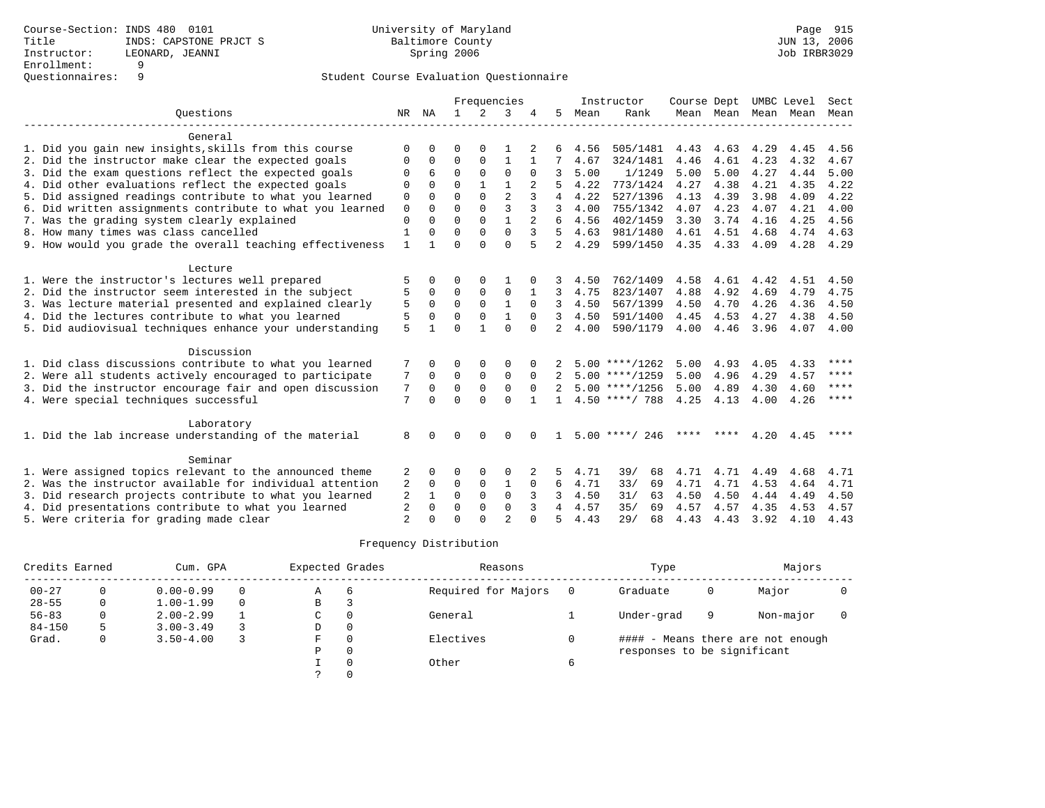### Student Course Evaluation Questionnaire

|                                                           |                |              |              |              | Frequencies    |                |                |      | Instructor       | Course Dept |                     |      | UMBC Level | Sect    |
|-----------------------------------------------------------|----------------|--------------|--------------|--------------|----------------|----------------|----------------|------|------------------|-------------|---------------------|------|------------|---------|
| Ouestions                                                 |                | NR NA        | $\mathbf{1}$ | 2            | 3              |                | 5              | Mean | Rank             |             | Mean Mean Mean Mean |      |            | Mean    |
| General                                                   |                |              |              |              |                |                |                |      |                  |             |                     |      |            |         |
| 1. Did you gain new insights, skills from this course     | $\Omega$       | <sup>0</sup> | U            | $\Omega$     |                |                |                | 4.56 | 505/1481         | 4.43        | 4.63                | 4.29 | 4.45       | 4.56    |
| 2. Did the instructor make clear the expected goals       | 0              | 0            | $\Omega$     | $\Omega$     | $\mathbf{1}$   |                | 7              | 4.67 | 324/1481         | 4.46        | 4.61                | 4.23 | 4.32       | 4.67    |
| 3. Did the exam questions reflect the expected goals      | $\Omega$       | 6            | $\Omega$     | $\Omega$     | $\Omega$       | $\Omega$       | 3              | 5.00 | 1/1249           | 5.00        | 5.00                | 4.27 | 4.44       | 5.00    |
| 4. Did other evaluations reflect the expected goals       | $\Omega$       | $\Omega$     | $\Omega$     |              |                |                |                | 4.22 | 773/1424         | 4.27        | 4.38                | 4.21 | 4.35       | 4.22    |
| 5. Did assigned readings contribute to what you learned   | 0              |              | $\Omega$     | $\Omega$     | $\overline{a}$ |                | 4              | 4.22 | 527/1396         | 4.13        | 4.39                | 3.98 | 4.09       | 4.22    |
| 6. Did written assignments contribute to what you learned | 0              | $\Omega$     | $\Omega$     | $\Omega$     | ζ              |                | 3              | 4.00 | 755/1342         | 4.07        | 4.23                | 4.07 | 4.21       | 4.00    |
| 7. Was the grading system clearly explained               | $\Omega$       | $\Omega$     | $\Omega$     | $\Omega$     | 1              | $\overline{2}$ | б.             | 4.56 | 402/1459         | 3.30        | 3.74                | 4.16 | 4.25       | 4.56    |
| 8. How many times was class cancelled                     | $\mathbf{1}$   | 0            | $\Omega$     | $\Omega$     | $\Omega$       | 3              | 5.             | 4.63 | 981/1480         | 4.61        | 4.51                | 4.68 | 4.74       | 4.63    |
| 9. How would you grade the overall teaching effectiveness | $\mathbf{1}$   | 1            | $\Omega$     | $\Omega$     | $\Omega$       |                | $\overline{2}$ | 4.29 | 599/1450         | 4.35        | 4.33                | 4.09 | 4.28       | 4.29    |
|                                                           |                |              |              |              |                |                |                |      |                  |             |                     |      |            |         |
| Lecture                                                   |                |              |              |              |                |                |                |      |                  |             |                     |      |            |         |
| 1. Were the instructor's lectures well prepared           | 5              | 0            | O            | $\Omega$     |                |                |                | 4.50 | 762/1409         | 4.58        | 4.61                | 4.42 | 4.51       | 4.50    |
| 2. Did the instructor seem interested in the subject      | 5              | $\Omega$     | $\Omega$     | 0            | $\mathbf 0$    |                | 3              | 4.75 | 823/1407         | 4.88        | 4.92                | 4.69 | 4.79       | 4.75    |
| 3. Was lecture material presented and explained clearly   | 5              | $\Omega$     | $\Omega$     | $\Omega$     | $\mathbf{1}$   | $\Omega$       | 3              | 4.50 | 567/1399         | 4.50        | 4.70                | 4.26 | 4.36       | 4.50    |
| 4. Did the lectures contribute to what you learned        | 5              | $\Omega$     | $\Omega$     | $\Omega$     | $\mathbf{1}$   | $\Omega$       | 3              | 4.50 | 591/1400         | 4.45        | 4.53                | 4.27 | 4.38       | 4.50    |
| 5. Did audiovisual techniques enhance your understanding  | 5              |              | $\Omega$     | $\mathbf{1}$ | $\Omega$       | $\Omega$       | $\mathfrak{D}$ | 4.00 | 590/1179         | 4.00        | 4.46                | 3.96 | 4.07       | 4.00    |
|                                                           |                |              |              |              |                |                |                |      |                  |             |                     |      |            |         |
| Discussion                                                |                |              |              |              |                |                |                |      |                  |             |                     |      |            |         |
| 1. Did class discussions contribute to what you learned   | 7              | <sup>0</sup> | U            | $\Omega$     | $\Omega$       |                |                |      | $5.00$ ****/1262 | 5.00        | 4.93                | 4.05 | 4.33       | ****    |
| 2. Were all students actively encouraged to participate   | 7              | $\Omega$     | $\Omega$     | $\Omega$     | $\Omega$       | $\Omega$       |                |      | $5.00$ ****/1259 | 5.00        | 4.96                | 4.29 | 4.57       | ****    |
| 3. Did the instructor encourage fair and open discussion  | 7              | $\Omega$     | $\mathbf 0$  | $\mathbf 0$  | $\mathbf 0$    | $\Omega$       |                |      | $5.00$ ****/1256 | 5.00        | 4.89                | 4.30 | 4.60       | ****    |
| 4. Were special techniques successful                     | 7              | $\Omega$     | $\Omega$     | $\Omega$     | $\Omega$       |                | $\mathbf{1}$   |      | $4.50$ ****/ 788 | 4.25        | 4.13                | 4.00 | 4.26       | $***$ * |
|                                                           |                |              |              |              |                |                |                |      |                  |             |                     |      |            |         |
| Laboratory                                                |                |              |              |              |                |                |                |      |                  |             |                     |      |            |         |
| 1. Did the lab increase understanding of the material     | 8              | <sup>n</sup> | $\Omega$     | $\Omega$     | $\cap$         |                |                |      | $5.00$ ****/ 246 | ****        | ****                | 4.20 | 4.45       | ****    |
|                                                           |                |              |              |              |                |                |                |      |                  |             |                     |      |            |         |
| Seminar                                                   |                |              |              |              |                |                |                |      |                  |             |                     |      |            |         |
| 1. Were assigned topics relevant to the announced theme   | 2              | 0            | 0            | $\Omega$     | $\Omega$       |                |                | 4.71 | 39/<br>68        | 4.71        | 4.71                | 4.49 | 4.68       | 4.71    |
| 2. Was the instructor available for individual attention  | 2              | 0            | $\Omega$     | $\Omega$     | 1              | $\Omega$       | 6              | 4.71 | 33/<br>69        | 4.71        | 4.71                | 4.53 | 4.64       | 4.71    |
| 3. Did research projects contribute to what you learned   | $\overline{2}$ | 1            | $\Omega$     | $\Omega$     | $\Omega$       | 3              | ζ              | 4.50 | 31/<br>63        | 4.50        | 4.50                | 4.44 | 4.49       | 4.50    |
| 4. Did presentations contribute to what you learned       | 2              | $\Omega$     | $\Omega$     | $\Omega$     | $\Omega$       | 3              | 4              | 4.57 | 35/<br>69        | 4.57        | 4.57                | 4.35 | 4.53       | 4.57    |
| 5. Were criteria for grading made clear                   | $\overline{a}$ |              | $\cap$       | $\cap$       | $\overline{2}$ |                | 5              | 4.43 | 29/<br>68        | 4.43        | 4.43                | 3.92 | 4.10       | 4.43    |

| Credits Earned |   | Cum. GPA      | Expected Grades |   | Reasons        |                     | Type     | Majors                      |   |                                   |  |
|----------------|---|---------------|-----------------|---|----------------|---------------------|----------|-----------------------------|---|-----------------------------------|--|
| $00 - 27$      |   | $0.00 - 0.99$ |                 | Α | $\overline{6}$ | Required for Majors | $\Omega$ | Graduate                    |   | Major                             |  |
| $28 - 55$      | 0 | $1.00 - 1.99$ |                 | B | -2             |                     |          |                             |   |                                   |  |
| $56 - 83$      |   | $2.00 - 2.99$ |                 | C | $\Omega$       | General             |          | Under-grad                  | 9 | Non-major                         |  |
| $84 - 150$     |   | $3.00 - 3.49$ |                 | D | 0              |                     |          |                             |   |                                   |  |
| Grad.          | 0 | $3.50 - 4.00$ |                 | F | $\Omega$       | Electives           |          |                             |   | #### - Means there are not enough |  |
|                |   |               |                 | Ρ | 0              |                     |          | responses to be significant |   |                                   |  |
|                |   |               |                 |   | $\Omega$       | Other               | 6        |                             |   |                                   |  |
|                |   |               |                 |   |                |                     |          |                             |   |                                   |  |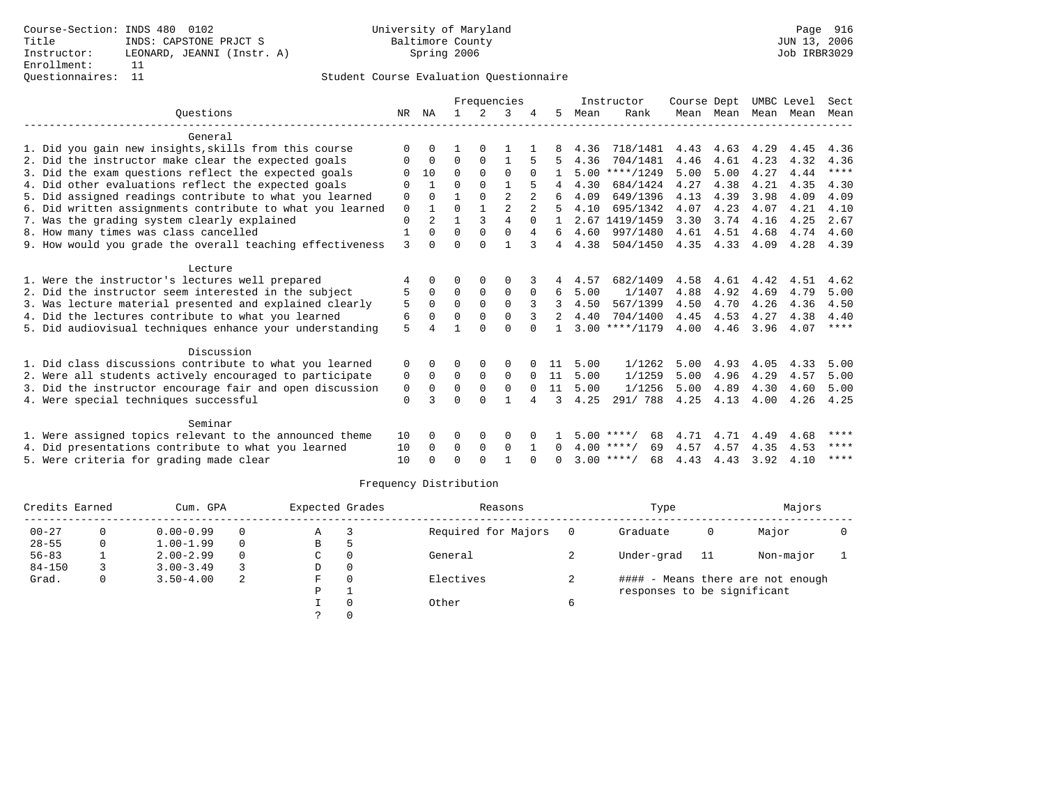# Questionnaires: 11 Student Course Evaluation Questionnaire

|                                                           |          |              |          |              | Frequencies    |                |          |      | Instructor         | Course Dept |           | UMBC Level |      | Sect        |
|-----------------------------------------------------------|----------|--------------|----------|--------------|----------------|----------------|----------|------|--------------------|-------------|-----------|------------|------|-------------|
| Ouestions                                                 | NR       | ΝA           |          | 2            | २              |                | 5.       | Mean | Rank               |             | Mean Mean | Mean Mean  |      | Mean        |
| General                                                   |          |              |          |              |                |                |          |      |                    |             |           |            |      |             |
| 1. Did you gain new insights, skills from this course     | $\Omega$ | $\Omega$     |          | O            |                |                |          | 4.36 | 718/1481           | 4.43        | 4.63      | 4.29       | 4.45 | 4.36        |
| 2. Did the instructor make clear the expected goals       |          | $\Omega$     | $\Omega$ | $\Omega$     |                |                |          | 4.36 | 704/1481           | 4.46        | 4.61      | 4.23       | 4.32 | 4.36        |
| 3. Did the exam questions reflect the expected goals      | 0        | 10           | $\Omega$ | $\Omega$     | $\Omega$       | $\Omega$       |          |      | $5.00$ ****/1249   | 5.00        | 5.00      | 4.27       | 4.44 | $***$ * * * |
| 4. Did other evaluations reflect the expected goals       | O        | $\mathbf{1}$ | 0        | $\Omega$     |                | 5              |          | 4.30 | 684/1424           | 4.27        | 4.38      | 4.21       | 4.35 | 4.30        |
| 5. Did assigned readings contribute to what you learned   | 0        | $\Omega$     |          | $\Omega$     | $\overline{2}$ | $\overline{2}$ |          | 4.09 | 649/1396           | 4.13        | 4.39      | 3.98       | 4.09 | 4.09        |
| 6. Did written assignments contribute to what you learned | 0        | $\mathbf{1}$ | U        | $\mathbf{1}$ | $\overline{a}$ |                |          | 4.10 | 695/1342           | 4.07        | 4.23      | 4.07       | 4.21 | 4.10        |
| 7. Was the grading system clearly explained               | 0        | 2            |          | 3            | $\overline{4}$ | $\Omega$       |          |      | 2.67 1419/1459     | 3.30        | 3.74      | 4.16       | 4.25 | 2.67        |
| 8. How many times was class cancelled                     |          | $\Omega$     | $\Omega$ | $\Omega$     | $\Omega$       | 4              | 6        | 4.60 | 997/1480           | 4.61        | 4.51      | 4.68       | 4.74 | 4.60        |
| 9. How would you grade the overall teaching effectiveness | 3        | $\Omega$     | U        | $\Omega$     |                | २              | 4        | 4.38 | 504/1450           | 4.35        | 4.33      | 4.09       | 4.28 | 4.39        |
|                                                           |          |              |          |              |                |                |          |      |                    |             |           |            |      |             |
| Lecture                                                   |          |              |          |              |                |                |          |      |                    |             |           |            |      |             |
| 1. Were the instructor's lectures well prepared           |          | 0            | O        | $\Omega$     | $\Omega$       |                | 4        | 4.57 | 682/1409           | 4.58        | 4.61      | 4.42       | 4.51 | 4.62        |
| 2. Did the instructor seem interested in the subject      | 5        | $\Omega$     | 0        | $\mathbf 0$  | 0              | $\Omega$       | 6        | 5.00 | 1/1407             | 4.88        | 4.92      | 4.69       | 4.79 | 5.00        |
| 3. Was lecture material presented and explained clearly   | 5        | $\Omega$     | 0        | $\mathbf 0$  | $\Omega$       | 3              |          | 4.50 | 567/1399           | 4.50        | 4.70      | 4.26       | 4.36 | 4.50        |
| 4. Did the lectures contribute to what you learned        | 6        | $\Omega$     | 0        | $\Omega$     | $\Omega$       | 3              |          | 4.40 | 704/1400           | 4.45        | 4.53      | 4.27       | 4.38 | 4.40        |
| 5. Did audiovisual techniques enhance your understanding  | 5        |              |          | U            | U              |                |          |      | $3.00$ ****/1179   | 4.00        | 4.46      | 3.96       | 4.07 | $***$ * * * |
| Discussion                                                |          |              |          |              |                |                |          |      |                    |             |           |            |      |             |
| 1. Did class discussions contribute to what you learned   | $\Omega$ | $\Omega$     | U        | $\Omega$     | $\Omega$       |                | 11       | 5.00 | 1/1262             | 5.00        | 4.93      | 4.05       | 4.33 | 5.00        |
| 2. Were all students actively encouraged to participate   | 0        | $\Omega$     | $\Omega$ | $\Omega$     | $\Omega$       | $\Omega$       | 11       | 5.00 | 1/1259             | 5.00        | 4.96      | 4.29       | 4.57 | 5.00        |
| 3. Did the instructor encourage fair and open discussion  | 0        | $\Omega$     | $\Omega$ | $\Omega$     | $\Omega$       | $\Omega$       | 11       | 5.00 | 1/1256             | 5.00        | 4.89      | 4.30       | 4.60 | 5.00        |
| 4. Were special techniques successful                     | 0        | २            | U        | $\Omega$     | $\mathbf{1}$   | 4              | 3        | 4.25 | 291/ 788           | 4.25        | 4.13      | 4.00       | 4.26 | 4.25        |
|                                                           |          |              |          |              |                |                |          |      |                    |             |           |            |      |             |
| Seminar                                                   |          |              |          |              |                |                |          |      |                    |             |           |            |      |             |
| 1. Were assigned topics relevant to the announced theme   | 10       | $\Omega$     | $\Omega$ | 0            | 0              |                |          |      | $5.00$ ****/<br>68 | 4.71        | 4.71      | 4.49       | 4.68 | ****        |
| 4. Did presentations contribute to what you learned       | 10       | $\Omega$     | 0        | $\mathbf 0$  | $\Omega$       | -1             | $\Omega$ |      | $4.00$ ****/<br>69 | 4.57        | 4.57      | 4.35       | 4.53 | ****        |
| 5. Were criteria for grading made clear                   | 10       |              | U        | $\cap$       |                |                |          |      | $3.00$ ****/<br>68 | 4.43        | 4.43      | 3.92       | 4.10 | ****        |

| Credits Earned |   | Cum. GPA      |          | Expected Grades |          | Reasons             |    | Type                        |    | Majors                            |  |
|----------------|---|---------------|----------|-----------------|----------|---------------------|----|-----------------------------|----|-----------------------------------|--|
| $00 - 27$      | 0 | $0.00 - 0.99$ | $\Omega$ | Α               |          | Required for Majors |    | Graduate                    | 0  | Major                             |  |
| $28 - 55$      | 0 | $1.00 - 1.99$ | $\Omega$ | В               |          |                     |    |                             |    |                                   |  |
| $56 - 83$      |   | $2.00 - 2.99$ | $\Omega$ | C               | $\Omega$ | General             |    | Under-grad                  | 11 | Non-major                         |  |
| $84 - 150$     |   | $3.00 - 3.49$ |          | D               | $\Omega$ |                     |    |                             |    |                                   |  |
| Grad.          | 0 | $3.50 - 4.00$ | 2        | F.              | $\Omega$ | Electives           | z. |                             |    | #### - Means there are not enough |  |
|                |   |               |          | D               |          |                     |    | responses to be significant |    |                                   |  |
|                |   |               |          |                 |          | Other               | 6  |                             |    |                                   |  |
|                |   |               |          |                 |          |                     |    |                             |    |                                   |  |